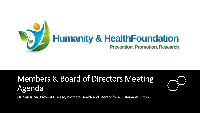

### Members & Board of Directors Meeting Agenda



**Our mission***:* Prevent Disease, Promote Health and Literacy for a Sustainable Future.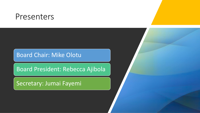### Presenters

### Board Chair: Mike Olotu

Board President: Rebecca Ajibola

Secretary: Jumai Fayemi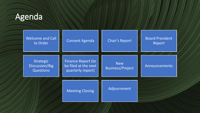### Agenda

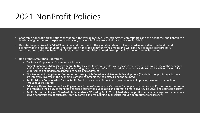### 2021 NonProfit Policies

- Charitable nonprofit organizations throughout the World improve lives, strengthen communities and the economy, and lighten the burdens of government, taxpayers, and society as a whole. They are a vital part of our social fabric.
- Despite the promise of COVID-19 vaccines and treatments, the global pandemic is likely to adversely affect the health and economy of the nation for years. The charitable nonprofit community has made and will continue to make extraordinary contributions to the wellbeing of individuals and communities, immediate support from governments is needed.

#### • **Non-Profit Organization Obligations:**

- Tax Policy: Empowering Community Solutions
- **Budget Spending: Addressing Community Needs** (charitable nonprofits have a stake in the strength and well-being of the economy, and of governments at all levels, and in ensuring that the needs of all of our residents, especially those that have been historically underserved and underrepresented, are heard and addressed.)
- **The Economy: Strengthening Communities through Job Creation and Economic Development (**Charitable nonprofit organizations are integrally involved in the economies of their communities, their states, and the country)
- **Public Private Collaboration for the Public Good (**share a commitment with governments to improving lives and communities throughout the country)
- **Advocacy Rights: Promoting Civic Engagement** (Nonprofits serve as safe havens for people to gather to amplify their collective voices and recognize their duty to stand up and speak out for the public good and promote a more diverse, inclusive, and equitable society).
- **Public Accountability and Non-Profit Independence" Ensuring Public Trust (**charitable nonprofit community recognizes that missiondriven nonprofits can be successful only by earning and maintaining public trust through appropriate transparency).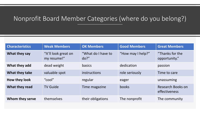### Nonprofit Board Member Categories (where do you belong?)

| <b>Characteristics</b> | <b>Weak Members</b>                 | <b>OK Members</b>             | <b>Good Members</b> | <b>Great Members</b>               |
|------------------------|-------------------------------------|-------------------------------|---------------------|------------------------------------|
| What they say          | "It'll look great on<br>my resume!" | "What do I have to<br>$do?$ " | "How may I help?"   | "Thanks for the<br>opportunity."   |
| What they add          | dead weight                         | basics                        | dedication          | passion                            |
| What they take         | valuable spot                       | instructions                  | role seriously      | Time to care                       |
| How they look          | " $\text{cool}$ "                   | regular                       | eager               | unassuming                         |
| What they read         | <b>TV Guide</b>                     | Time magazine                 | books               | Research Books on<br>effectiveness |
| Whom they serve        | themselves                          | their obligations             | The nonprofit       | The community                      |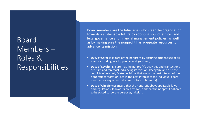### Board Members – Roles & Responsibilities

Board members are the fiduciaries who steer the organization towards a sustainable future by adopting sound, ethical, and legal governance and financial management policies, as well as by making sure the nonprofit has adequate resources to advance its mission.

- **Duty of Care:** Take care of the nonprofit by ensuring prudent use of all assets, including facility, people, and good will;
- **Duty of Loyalty:** Ensure that the nonprofit's activities and transactions are, first and foremost, advancing its mission; Recognize and disclose conflicts of interest; Make decisions that are in the best interest of the nonprofit corporation; not in the best interest of the individual board member (or any other individual or for-profit entity).
- **Duty of Obedience:** Ensure that the nonprofit obeys applicable laws and regulations; follows its own bylaws; and that the nonprofit adheres to its stated corporate purposes/mission.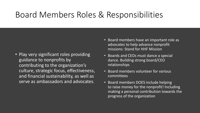# Board Members Roles & Responsibilities

- Play very significant roles providing guidance to nonprofits by contributing to the organization's culture, strategic focus, effectiveness, and financial sustainability, as well as serve as ambassadors and advocates.
- Board members have an important role as advocates to help advance nonprofit missions: Stand for HHF Mission
- Boards and CEOs must dance a special dance. Building strong board/CEO relationships
- Board members volunteer for various committees
- Board members DOES include helping to raise money for the nonprofit! Including making a personal contribution towards the progress of the organization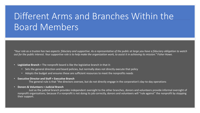# Different Arms and Branches Within the Board Members

*"Your role as a trustee has two aspects: fiduciary and supportive. As a representative of the public at large you have a fiduciary obligation to watch out for the public interest. Your supportive role is to help make the organization work, to assist it in achieving its mission." Fisher Howe.*

- **Legislative Branch** = The nonprofit board is like the legislative branch in that it:
	- Sets the general direction and board policies, but normally does not directly execute that policy
	- Adopts the budget and ensures these are sufficient resources to meet the nonprofits needs
- **Executive Director and Staff = Executive Branch**

The general rule is that "the directors oversee, but do not directly engage in the corporation's day-to-day operations

• **Donors & Volunteers = Judicial Branch**

Just as the judicial branch provides independent oversight to the other branches, donors and volunteers provide informal oversight of nonprofit organizations, because if a nonprofit is not doing its job correctly, donors and volunteers will "rule against" the nonprofit by stopping their support.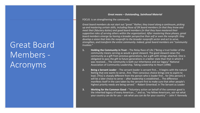# Great Board Members - Acronyms

#### *Great means – Outstanding, Sainthood Material*

#### FOCUS is on strengthening the community

*Great board members do not start out "great." Rather, they travel along a continuum, picking up and mastering certain skills, including those of OK board members (in that they know and meet their fiduciary duties) and good board members (in that they have mastered their supportive roles of serving others within the organization). After mastering these phases, great board members emerge by having a broader perspective than self or even the nonprofit: they develop a vision that links the nonprofit to the broader nonprofit sector and act to serve, strengthen, and transform the entire community. Indeed, great board members are "community trustees."* 

- **1. Holding the Community in Trust** The Relay Race of Life ("Being a trust holder of the community means serving as would a good steward. The good steward views the community as a gift from previous generations, but a gift with strings attached. One is obligated to pass the gift to future generations in a better state than that in which it was received.... The community is both our inheritance and our legacy." National Association of Community Leadership, Taking Leadership to Heart (1996)
- **2. Being a Servant Leader -** The servant-leader is servant first…. It begins with the natural feeling that one wants to serve…first. Then conscious choice brings one to aspire to lead. [This] is sharply different from the person who is leader first... for [this person] it will be a later choice to serve -- after leadership is established…. The difference manifests itself in the care taken by the servant-first to make sure that other people's highest priority needs are being served." --Robert Greenleaf, in The Servant as Leader
- **3. Working for the Common Good -** "Voluntary action on behalf of the common good is the inherited legacy of every American…." and so, "my fellow Americans, ask not what your country can do for you – ask what you can do for your country." -- John F. Kennedy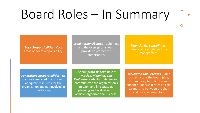# Board Roles – In Summary

*Basic Responsibilities - C*ore areas of board responsibility. *Legal Responsibilities -* Liabilities, and the oversight it should provide to protect the organization.

*Financial Responsibilities -* Financial oversight and risk management.

*Fundraising Responsibilities -* Be actively engaged in ensuring adequate resources for the organization and get involved in fundraising.

*The Nonprofit Board's Role in Mission, Planning, and Evaluation* - Ability to define and communicate the organization's mission and link strategic planning and evaluation to achieve organizational success.

*Structures and Practices - B*uild and structure the board (size, committees, term limits) and enhance leadership roles and the partnership between the chair and the chief executive.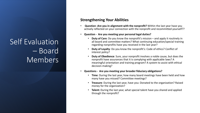### Self Evaluation – Board Members

#### **Strengthening Your Abilities**

- **Question -Are you in alignment with the nonprofit?** Within the last year have you actively reflected on your connection with the nonprofit and recommitted yourself??
- **Question - Are you meeting your personal legal duties?** 
	- **Duty of Care**: Do you know the nonprofit's mission and apply it routinely in all board and committee matters? What continuing education/special training regarding nonprofits have you received in the last year?
	- **Duty of Loyalty**: Do you know the nonprofit's: Code of ethics? Conflict of interest policy?
	- **Duty of Obedience**: Sure, your nonprofit involves a noble cause, but does the nonprofit have assurances that it is complying with applicable laws? A meaningful orientation and training program? A system to assist with ethical decision-making?
- **Questions - Are you meeting your broader fiduciary obligations?** 
	- **Time**: During the last year, how many board meetings have been held and how many have you missed? Committee meetings?
	- **Treasure**: During the last year, have you: Donated to the organization? Raised money for the organization?
	- **Talent:** During the last year, what special talent have you shared and applied through the nonprofit?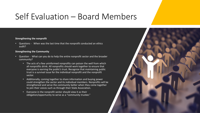### Self Evaluation – Board Members

#### **Strengthening the nonprofit**

• Questions - When was the last time that the nonprofit conducted an ethics audit?

#### **Strengthening the Community**

- Question What can you do to help the entire nonprofit sector and the broader community?
	- The acts of a few uninformed nonprofits can poison the well from which all nonprofits drink. All nonprofits should work together to ensure that everyone is earning the public's trust. Recognize that maintaining public trust is a survival issue for the individual nonprofit and the nonprofit sector.
	- Additionally, coming together to share information and buying power could strengthen the sector and its individual members. Nonprofits will be strengthened and serve the community better when they come together to join their voices such as through their State Association.
	- Everyone in the nonprofit sector should view it as their obligation/opportunity to serve as a "community trustee."

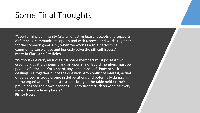# Some Final Thoughts

"A performing community (aka an effective board) accepts and supports differences, communicates openly and with respect, and works together for the common good. Only when we work as a true performing community can we face and honestly solve the difficult issues." **Mary Jo Clark and Pat Heiny**

"Without question, all successful board members must possess two essential qualities: integrity and an open mind. Board members must be people of principle. On a board, any appearance of shady or slick dealings is altogether out of the question. Any conflict of interest, actual or perceived, is troublesome in deliberations and potentially damaging to the organization. The best trustees bring to the table neither their prejudices nor their own agendas. … They aren't stuck on winning every issue. They are team players." **Fisher Howe**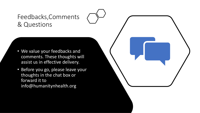### Feedbacks,Comments & Questions

- We value your feedbacks and comments. These thoughts will assist us in effective delivery.
- Before you go, please leave your thoughts in the chat box or forward it to info@humanitynhealth.org